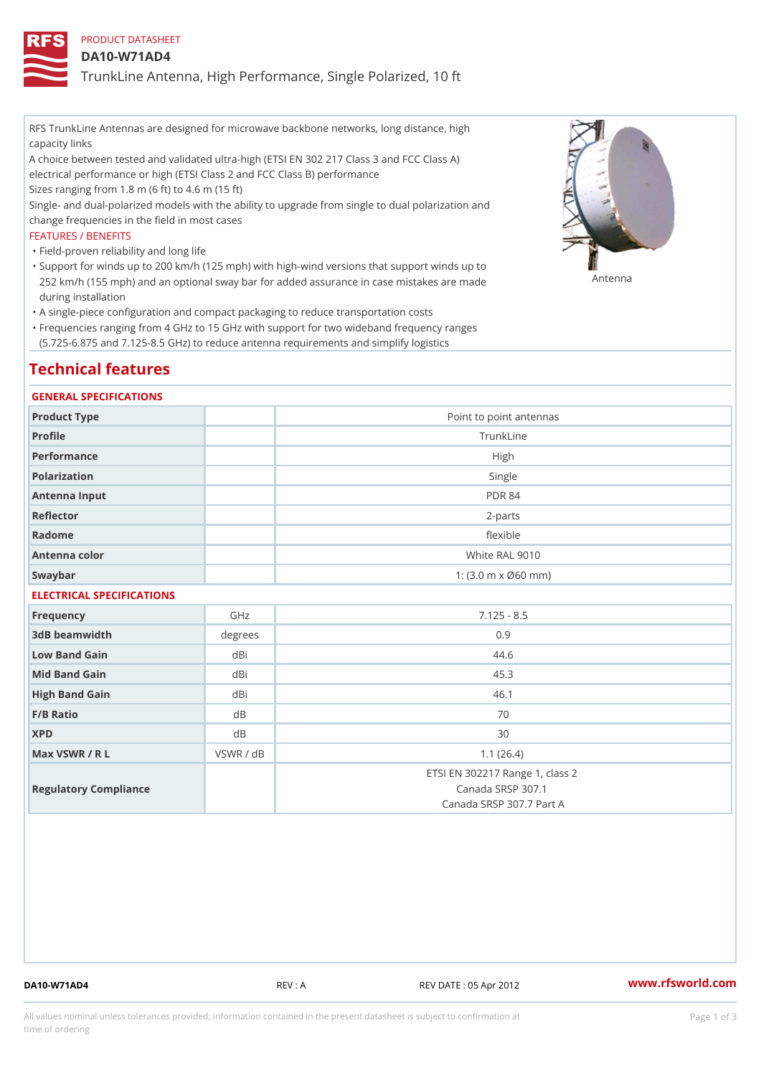# PRODUCT DATASHEET

### DA10-W71AD4

TrunkLine Antenna, High Performance, Single Polarized, 10 ft

RFS TrunkLine Antennas are designed for microwave backbone networks, long distance, high capacity links

A choice between tested and validated ultra-high (ETSI EN 302 217 Class 3 and FCC Class A) electrical performance or high (ETSI Class 2 and FCC Class B) performance

Sizes ranging from 1.8 m (6 ft) to 4.6 m (15 ft)

Single- and dual-polarized models with the ability to upgrade from single to dual polarization and change frequencies in the field in most cases

#### FEATURES / BENEFITS

"Field-proven reliability and long life

- Support for winds up to 200 km/h (125 mph) with high-wind versions that support winds up to " 252 km/h (155 mph) and an optional sway bar for added assurance in case m 48 #8 R B & are made during installation
- "A single-piece configuration and compact packaging to reduce transportation costs
- Frequencies ranging from 4 GHz to 15 GHz with support for two wideband frequency ranges " (5.725-6.875 and 7.125-8.5 GHz) to reduce antenna requirements and simplify logistics

# Technical features

#### GENERAL SPECIFICATIONS

| Product Type  | Point to point antennas                                 |
|---------------|---------------------------------------------------------|
| Profile       | TrunkLine                                               |
| Performance   | High                                                    |
| Polarization  | Single                                                  |
| Antenna Input | <b>PDR 84</b>                                           |
| Reflector     | $2 - p$ arts                                            |
| Radome        | flexible                                                |
| Antenna color | White RAL 9010                                          |
| Swaybar       | 1: $(3.0 \, \text{m} \times \emptyset 60 \, \text{mm})$ |

# ELECTRICAL SPECIFICATIONS

| Frequency             | GHz       | $7.125 - 8.5$                                                                    |
|-----------------------|-----------|----------------------------------------------------------------------------------|
| 3dB beamwidth         | degree:   | 0.9                                                                              |
| Low Band Gain         | dBi       | 44.6                                                                             |
| Mid Band Gain         | dBi       | 45.3                                                                             |
| High Band Gain        | dBi       | 46.1                                                                             |
| $F/B$ Ratio           | d B       | 70                                                                               |
| <b>XPD</b>            | d B       | 30                                                                               |
| Max VSWR / R L        | VSWR / dB | 1.1(26.4)                                                                        |
| Regulatory Compliance |           | ETSI EN 302217 Range 1, class 2<br>Canada SRSP 307.1<br>Canada SRSP 307.7 Part A |

DA10-W71AD4 REV : A REV DATE : 05 Apr 2012 [www.](https://www.rfsworld.com)rfsworld.com

All values nominal unless tolerances provided; information contained in the present datasheet is subject to Pcapgeign mation time of ordering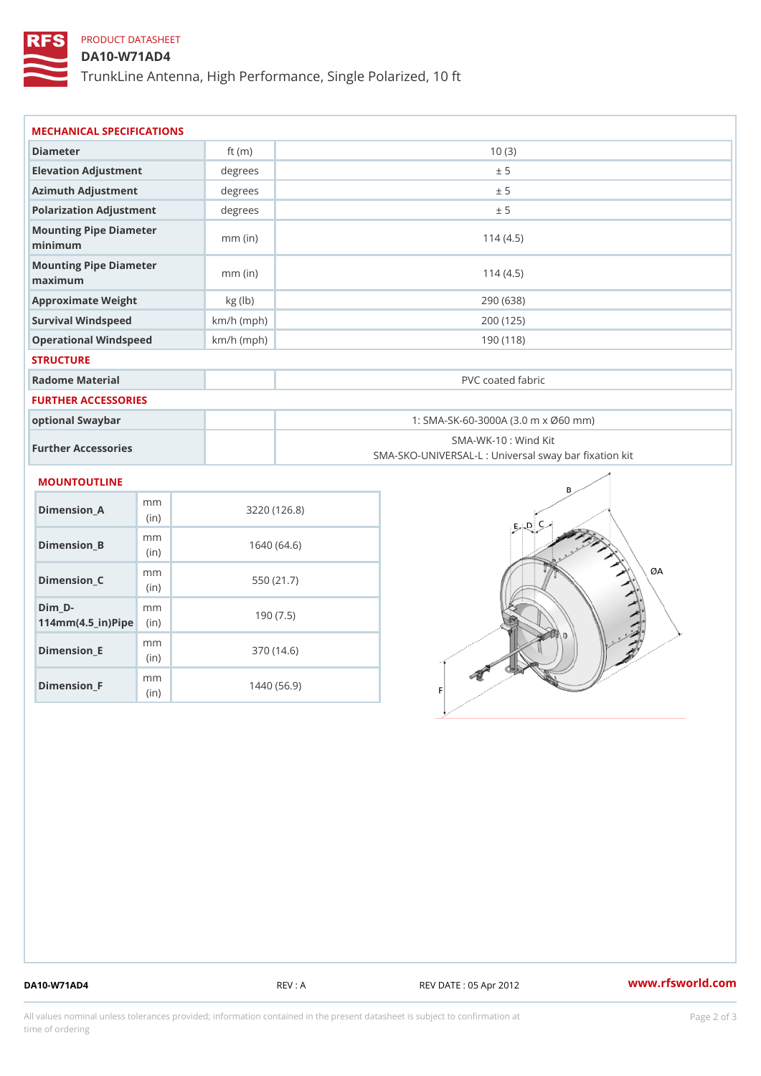# PRODUCT DATASHEET

(in)

m<sub>m</sub> (in)

# DA10-W71AD4

TrunkLine Antenna, High Performance, Single Polarized, 10 ft

| MECHANICAL SPECIFICATIONS                                                            |              |                                                                          |  |  |
|--------------------------------------------------------------------------------------|--------------|--------------------------------------------------------------------------|--|--|
| Diameter                                                                             | ft $(m)$     | 10(3)                                                                    |  |  |
| Elevation Adjustment                                                                 | degrees      | ± 5                                                                      |  |  |
| Azimuth Adjustment                                                                   | degree       | ± 5                                                                      |  |  |
| Polarization Adjustment                                                              | degrees      | ± 5                                                                      |  |  |
| Mounting Pipe Diameter<br>minimum                                                    | $mm$ (in)    | 114(4.5)                                                                 |  |  |
| Mounting Pipe Diameter<br>maximum                                                    | $mm$ (in)    | 114(4.5)                                                                 |  |  |
| Approximate Weight                                                                   | kg (lb)      | 290 (638)                                                                |  |  |
| Survival Windspeed                                                                   | $km/h$ (mph) | 200 (125)                                                                |  |  |
| Operational Windspeed                                                                | $km/h$ (mph) | 190 (118)                                                                |  |  |
| <b>STRUCTURE</b>                                                                     |              |                                                                          |  |  |
| Radome Material                                                                      |              | PVC coated fabric                                                        |  |  |
| FURTHER ACCESSORIES                                                                  |              |                                                                          |  |  |
| optional Swaybar                                                                     |              | 1: SMA-SK-60-3000A (3.0 m x Ø60 mm)                                      |  |  |
| Further Accessories                                                                  |              | SMA-WK-10: Wind Kit<br>SMA-SKO-UNIVERSAL-L : Universal sway bar fixation |  |  |
| MOUNTOUTLINE                                                                         |              |                                                                          |  |  |
| m m<br>$Dimension_A$<br>(in)                                                         |              | 3220(126.8)                                                              |  |  |
| m m<br>$Dimension_B$<br>(in)                                                         |              | 1640(64.6)                                                               |  |  |
| m m<br>Dimension_C<br>(in)                                                           |              | 550 (21.7)                                                               |  |  |
| $Dim_D - D -$<br>m <sub>m</sub><br>$114$ m m (4.5 _ ir ) $\sqrt{$ im $\cdot$ $\cdot$ |              | 190(7.5)                                                                 |  |  |
| m m<br>$Dimen sion _E$                                                               |              | 370 (14.6)                                                               |  |  |

Dimension\_F

1440 (56.9)

DA10-W71AD4 REV : A REV DATE : 05 Apr 2012 [www.](https://www.rfsworld.com)rfsworld.com